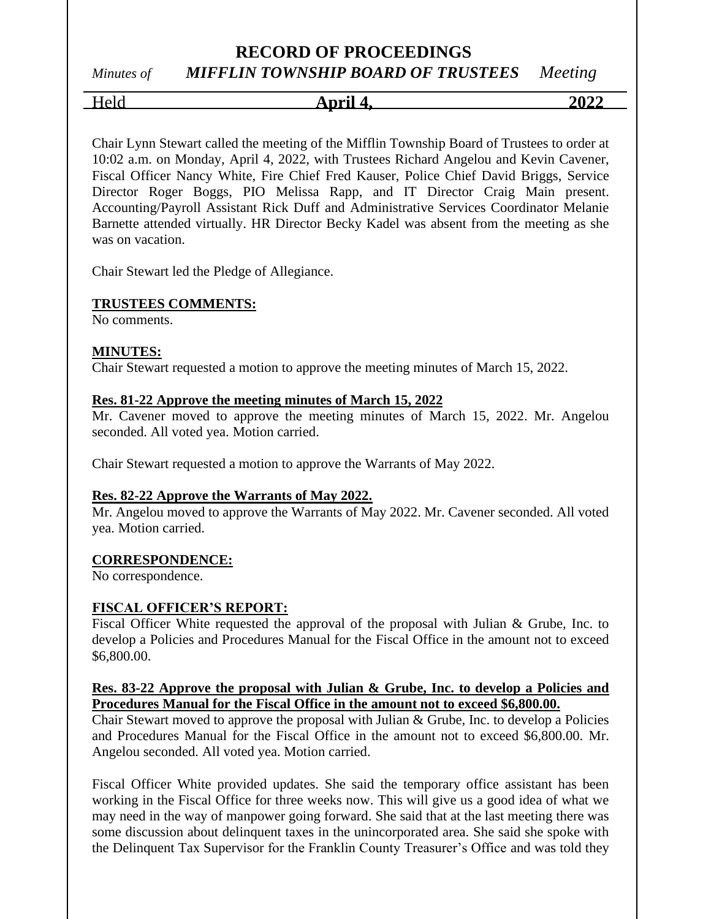## *Minutes of MIFFLIN TOWNSHIP BOARD OF TRUSTEES Meeting*

Held **April 4, 2022**

Chair Lynn Stewart called the meeting of the Mifflin Township Board of Trustees to order at 10:02 a.m. on Monday, April 4, 2022, with Trustees Richard Angelou and Kevin Cavener, Fiscal Officer Nancy White, Fire Chief Fred Kauser, Police Chief David Briggs, Service Director Roger Boggs, PIO Melissa Rapp, and IT Director Craig Main present. Accounting/Payroll Assistant Rick Duff and Administrative Services Coordinator Melanie Barnette attended virtually. HR Director Becky Kadel was absent from the meeting as she was on vacation.

Chair Stewart led the Pledge of Allegiance.

#### **TRUSTEES COMMENTS:**

No comments.

#### **MINUTES:**

Chair Stewart requested a motion to approve the meeting minutes of March 15, 2022.

#### **Res. 81-22 Approve the meeting minutes of March 15, 2022**

Mr. Cavener moved to approve the meeting minutes of March 15, 2022. Mr. Angelou seconded. All voted yea. Motion carried.

Chair Stewart requested a motion to approve the Warrants of May 2022.

#### **Res. 82-22 Approve the Warrants of May 2022.**

Mr. Angelou moved to approve the Warrants of May 2022. Mr. Cavener seconded. All voted yea. Motion carried.

#### **CORRESPONDENCE:**

No correspondence.

### **FISCAL OFFICER'S REPORT:**

Fiscal Officer White requested the approval of the proposal with Julian & Grube, Inc. to develop a Policies and Procedures Manual for the Fiscal Office in the amount not to exceed \$6,800.00.

#### **Res. 83-22 Approve the proposal with Julian & Grube, Inc. to develop a Policies and Procedures Manual for the Fiscal Office in the amount not to exceed \$6,800.00.**

Chair Stewart moved to approve the proposal with Julian & Grube, Inc. to develop a Policies and Procedures Manual for the Fiscal Office in the amount not to exceed \$6,800.00. Mr. Angelou seconded. All voted yea. Motion carried.

Fiscal Officer White provided updates. She said the temporary office assistant has been working in the Fiscal Office for three weeks now. This will give us a good idea of what we may need in the way of manpower going forward. She said that at the last meeting there was some discussion about delinquent taxes in the unincorporated area. She said she spoke with the Delinquent Tax Supervisor for the Franklin County Treasurer's Office and was told they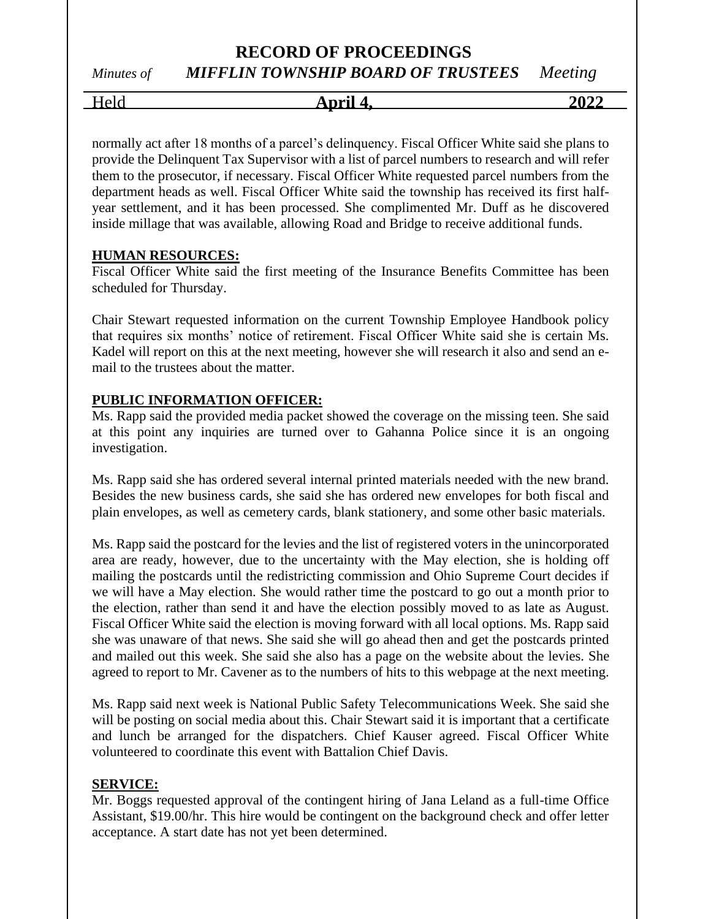# *Minutes of MIFFLIN TOWNSHIP BOARD OF TRUSTEES Meeting*

Held **April 4, 2022**

normally act after 18 months of a parcel's delinquency. Fiscal Officer White said she plans to provide the Delinquent Tax Supervisor with a list of parcel numbers to research and will refer them to the prosecutor, if necessary. Fiscal Officer White requested parcel numbers from the department heads as well. Fiscal Officer White said the township has received its first halfyear settlement, and it has been processed. She complimented Mr. Duff as he discovered inside millage that was available, allowing Road and Bridge to receive additional funds.

#### **HUMAN RESOURCES:**

Fiscal Officer White said the first meeting of the Insurance Benefits Committee has been scheduled for Thursday.

Chair Stewart requested information on the current Township Employee Handbook policy that requires six months' notice of retirement. Fiscal Officer White said she is certain Ms. Kadel will report on this at the next meeting, however she will research it also and send an email to the trustees about the matter.

#### **PUBLIC INFORMATION OFFICER:**

Ms. Rapp said the provided media packet showed the coverage on the missing teen. She said at this point any inquiries are turned over to Gahanna Police since it is an ongoing investigation.

Ms. Rapp said she has ordered several internal printed materials needed with the new brand. Besides the new business cards, she said she has ordered new envelopes for both fiscal and plain envelopes, as well as cemetery cards, blank stationery, and some other basic materials.

Ms. Rapp said the postcard for the levies and the list of registered voters in the unincorporated area are ready, however, due to the uncertainty with the May election, she is holding off mailing the postcards until the redistricting commission and Ohio Supreme Court decides if we will have a May election. She would rather time the postcard to go out a month prior to the election, rather than send it and have the election possibly moved to as late as August. Fiscal Officer White said the election is moving forward with all local options. Ms. Rapp said she was unaware of that news. She said she will go ahead then and get the postcards printed and mailed out this week. She said she also has a page on the website about the levies. She agreed to report to Mr. Cavener as to the numbers of hits to this webpage at the next meeting.

Ms. Rapp said next week is National Public Safety Telecommunications Week. She said she will be posting on social media about this. Chair Stewart said it is important that a certificate and lunch be arranged for the dispatchers. Chief Kauser agreed. Fiscal Officer White volunteered to coordinate this event with Battalion Chief Davis.

#### **SERVICE:**

Mr. Boggs requested approval of the contingent hiring of Jana Leland as a full-time Office Assistant, \$19.00/hr. This hire would be contingent on the background check and offer letter acceptance. A start date has not yet been determined.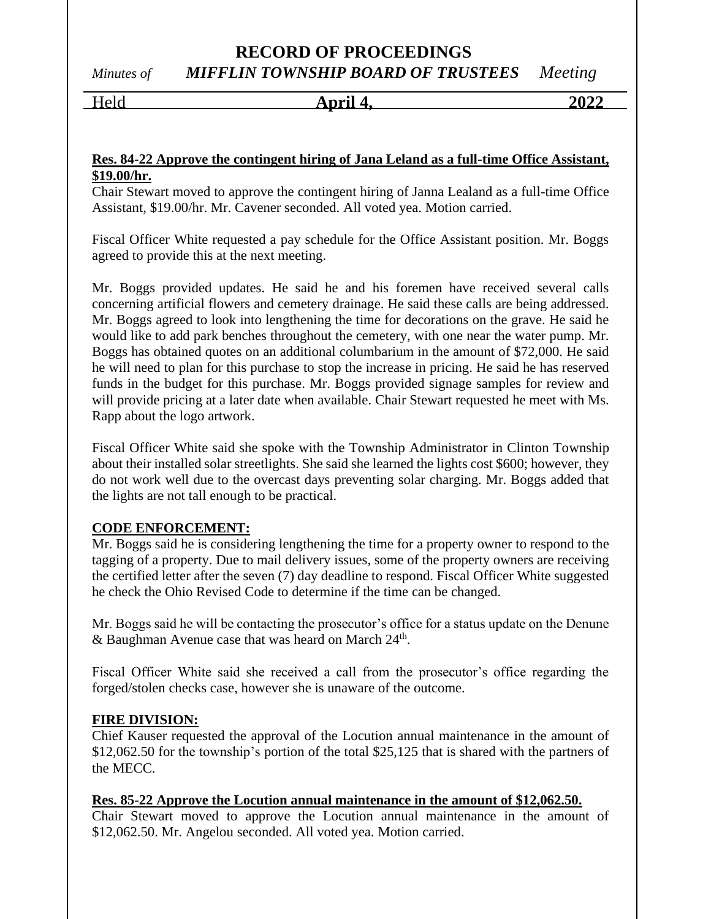# *Minutes of MIFFLIN TOWNSHIP BOARD OF TRUSTEES Meeting*

Held **April 4, 2022**

#### **Res. 84-22 Approve the contingent hiring of Jana Leland as a full-time Office Assistant, \$19.00/hr.**

Chair Stewart moved to approve the contingent hiring of Janna Lealand as a full-time Office Assistant, \$19.00/hr. Mr. Cavener seconded. All voted yea. Motion carried.

Fiscal Officer White requested a pay schedule for the Office Assistant position. Mr. Boggs agreed to provide this at the next meeting.

Mr. Boggs provided updates. He said he and his foremen have received several calls concerning artificial flowers and cemetery drainage. He said these calls are being addressed. Mr. Boggs agreed to look into lengthening the time for decorations on the grave. He said he would like to add park benches throughout the cemetery, with one near the water pump. Mr. Boggs has obtained quotes on an additional columbarium in the amount of \$72,000. He said he will need to plan for this purchase to stop the increase in pricing. He said he has reserved funds in the budget for this purchase. Mr. Boggs provided signage samples for review and will provide pricing at a later date when available. Chair Stewart requested he meet with Ms. Rapp about the logo artwork.

Fiscal Officer White said she spoke with the Township Administrator in Clinton Township about their installed solar streetlights. She said she learned the lights cost \$600; however, they do not work well due to the overcast days preventing solar charging. Mr. Boggs added that the lights are not tall enough to be practical.

#### **CODE ENFORCEMENT:**

Mr. Boggs said he is considering lengthening the time for a property owner to respond to the tagging of a property. Due to mail delivery issues, some of the property owners are receiving the certified letter after the seven (7) day deadline to respond. Fiscal Officer White suggested he check the Ohio Revised Code to determine if the time can be changed.

Mr. Boggs said he will be contacting the prosecutor's office for a status update on the Denune & Baughman Avenue case that was heard on March  $24^{\text{th}}$ .

Fiscal Officer White said she received a call from the prosecutor's office regarding the forged/stolen checks case, however she is unaware of the outcome.

### **FIRE DIVISION:**

Chief Kauser requested the approval of the Locution annual maintenance in the amount of \$12,062.50 for the township's portion of the total \$25,125 that is shared with the partners of the MECC.

## **Res. 85-22 Approve the Locution annual maintenance in the amount of \$12,062.50.**

Chair Stewart moved to approve the Locution annual maintenance in the amount of \$12,062.50. Mr. Angelou seconded. All voted yea. Motion carried.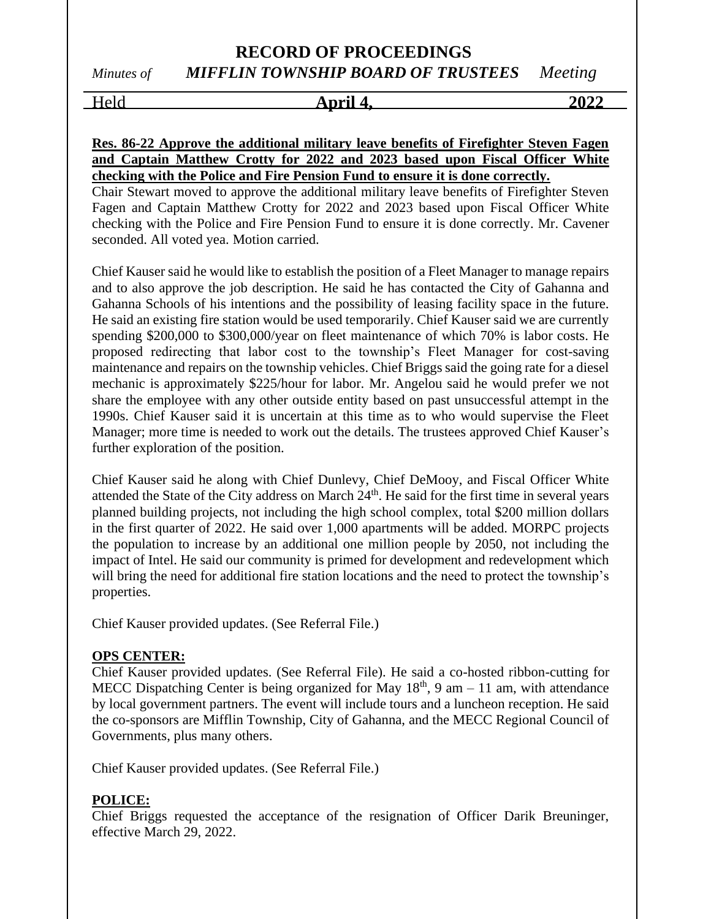## **RECORD OF PROCEEDINGS** *Minutes of MIFFLIN TOWNSHIP BOARD OF TRUSTEES Meeting*

Held **April 4, 2022**

#### **Res. 86-22 Approve the additional military leave benefits of Firefighter Steven Fagen and Captain Matthew Crotty for 2022 and 2023 based upon Fiscal Officer White checking with the Police and Fire Pension Fund to ensure it is done correctly.**

Chair Stewart moved to approve the additional military leave benefits of Firefighter Steven Fagen and Captain Matthew Crotty for 2022 and 2023 based upon Fiscal Officer White checking with the Police and Fire Pension Fund to ensure it is done correctly. Mr. Cavener seconded. All voted yea. Motion carried.

Chief Kauser said he would like to establish the position of a Fleet Manager to manage repairs and to also approve the job description. He said he has contacted the City of Gahanna and Gahanna Schools of his intentions and the possibility of leasing facility space in the future. He said an existing fire station would be used temporarily. Chief Kauser said we are currently spending \$200,000 to \$300,000/year on fleet maintenance of which 70% is labor costs. He proposed redirecting that labor cost to the township's Fleet Manager for cost-saving maintenance and repairs on the township vehicles. Chief Briggs said the going rate for a diesel mechanic is approximately \$225/hour for labor. Mr. Angelou said he would prefer we not share the employee with any other outside entity based on past unsuccessful attempt in the 1990s. Chief Kauser said it is uncertain at this time as to who would supervise the Fleet Manager; more time is needed to work out the details. The trustees approved Chief Kauser's further exploration of the position.

Chief Kauser said he along with Chief Dunlevy, Chief DeMooy, and Fiscal Officer White attended the State of the City address on March 24<sup>th</sup>. He said for the first time in several years planned building projects, not including the high school complex, total \$200 million dollars in the first quarter of 2022. He said over 1,000 apartments will be added. MORPC projects the population to increase by an additional one million people by 2050, not including the impact of Intel. He said our community is primed for development and redevelopment which will bring the need for additional fire station locations and the need to protect the township's properties.

Chief Kauser provided updates. (See Referral File.)

### **OPS CENTER:**

Chief Kauser provided updates. (See Referral File). He said a co-hosted ribbon-cutting for MECC Dispatching Center is being organized for May  $18<sup>th</sup>$ , 9 am – 11 am, with attendance by local government partners. The event will include tours and a luncheon reception. He said the co-sponsors are Mifflin Township, City of Gahanna, and the MECC Regional Council of Governments, plus many others.

Chief Kauser provided updates. (See Referral File.)

### **POLICE:**

Chief Briggs requested the acceptance of the resignation of Officer Darik Breuninger, effective March 29, 2022.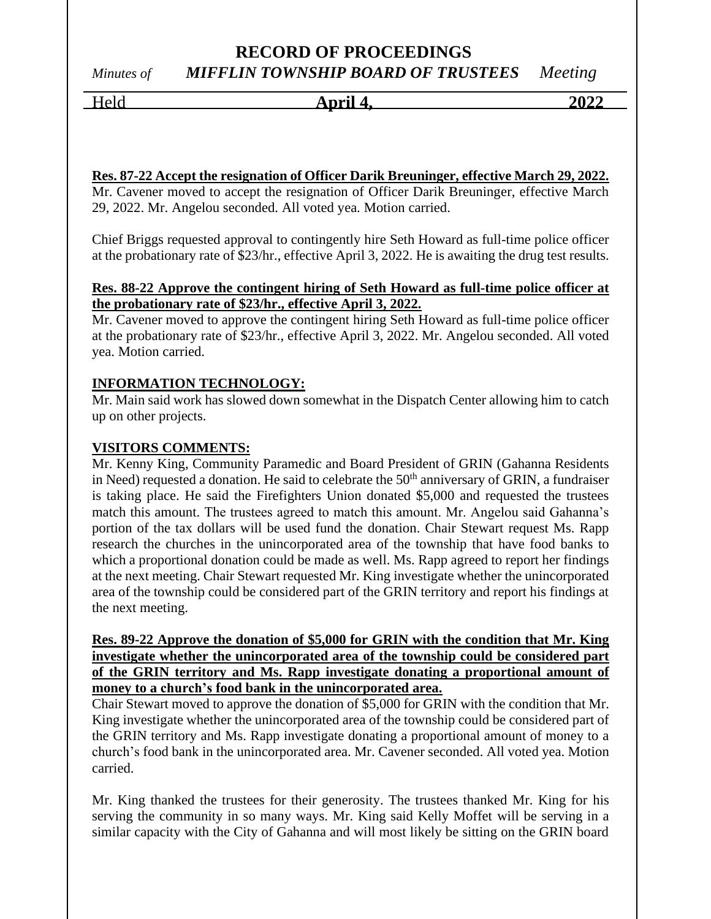# *Minutes of MIFFLIN TOWNSHIP BOARD OF TRUSTEES Meeting*

Held **April 4, 2022**

#### **Res. 87-22 Accept the resignation of Officer Darik Breuninger, effective March 29, 2022.**

Mr. Cavener moved to accept the resignation of Officer Darik Breuninger, effective March 29, 2022. Mr. Angelou seconded. All voted yea. Motion carried.

Chief Briggs requested approval to contingently hire Seth Howard as full-time police officer at the probationary rate of \$23/hr., effective April 3, 2022. He is awaiting the drug test results.

#### **Res. 88-22 Approve the contingent hiring of Seth Howard as full-time police officer at the probationary rate of \$23/hr., effective April 3, 2022.**

Mr. Cavener moved to approve the contingent hiring Seth Howard as full-time police officer at the probationary rate of \$23/hr., effective April 3, 2022. Mr. Angelou seconded. All voted yea. Motion carried.

### **INFORMATION TECHNOLOGY:**

Mr. Main said work has slowed down somewhat in the Dispatch Center allowing him to catch up on other projects.

#### **VISITORS COMMENTS:**

Mr. Kenny King, Community Paramedic and Board President of GRIN (Gahanna Residents in Need) requested a donation. He said to celebrate the  $50<sup>th</sup>$  anniversary of GRIN, a fundraiser is taking place. He said the Firefighters Union donated \$5,000 and requested the trustees match this amount. The trustees agreed to match this amount. Mr. Angelou said Gahanna's portion of the tax dollars will be used fund the donation. Chair Stewart request Ms. Rapp research the churches in the unincorporated area of the township that have food banks to which a proportional donation could be made as well. Ms. Rapp agreed to report her findings at the next meeting. Chair Stewart requested Mr. King investigate whether the unincorporated area of the township could be considered part of the GRIN territory and report his findings at the next meeting.

#### **Res. 89-22 Approve the donation of \$5,000 for GRIN with the condition that Mr. King investigate whether the unincorporated area of the township could be considered part of the GRIN territory and Ms. Rapp investigate donating a proportional amount of money to a church's food bank in the unincorporated area.**

Chair Stewart moved to approve the donation of \$5,000 for GRIN with the condition that Mr. King investigate whether the unincorporated area of the township could be considered part of the GRIN territory and Ms. Rapp investigate donating a proportional amount of money to a church's food bank in the unincorporated area. Mr. Cavener seconded. All voted yea. Motion carried.

Mr. King thanked the trustees for their generosity. The trustees thanked Mr. King for his serving the community in so many ways. Mr. King said Kelly Moffet will be serving in a similar capacity with the City of Gahanna and will most likely be sitting on the GRIN board